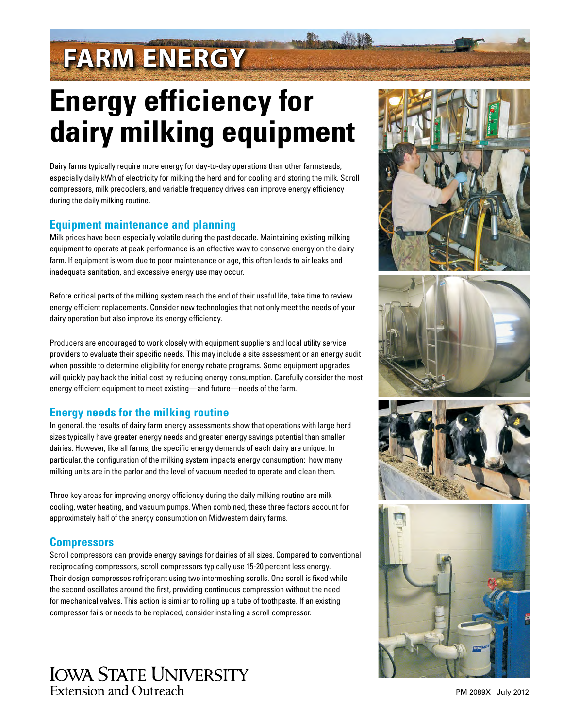# **FARM ENERGY**

## **Energy efficiency for dairy milking equipment**

Dairy farms typically require more energy for day-to-day operations than other farmsteads, especially daily kWh of electricity for milking the herd and for cooling and storing the milk. Scroll compressors, milk precoolers, and variable frequency drives can improve energy efficiency during the daily milking routine.

### **Equipment maintenance and planning**

Milk prices have been especially volatile during the past decade. Maintaining existing milking equipment to operate at peak performance is an effective way to conserve energy on the dairy farm. If equipment is worn due to poor maintenance or age, this often leads to air leaks and inadequate sanitation, and excessive energy use may occur.

Before critical parts of the milking system reach the end of their useful life, take time to review energy efficient replacements. Consider new technologies that not only meet the needs of your dairy operation but also improve its energy efficiency.

Producers are encouraged to work closely with equipment suppliers and local utility service providers to evaluate their specific needs. This may include a site assessment or an energy audit when possible to determine eligibility for energy rebate programs. Some equipment upgrades will quickly pay back the initial cost by reducing energy consumption. Carefully consider the most energy efficient equipment to meet existing—and future—needs of the farm.

## **Energy needs for the milking routine**

In general, the results of dairy farm energy assessments show that operations with large herd sizes typically have greater energy needs and greater energy savings potential than smaller dairies. However, like all farms, the specific energy demands of each dairy are unique. In particular, the configuration of the milking system impacts energy consumption: how many milking units are in the parlor and the level of vacuum needed to operate and clean them.

Three key areas for improving energy efficiency during the daily milking routine are milk cooling, water heating, and vacuum pumps. When combined, these three factors account for approximately half of the energy consumption on Midwestern dairy farms.

## **Compressors**

Scroll compressors can provide energy savings for dairies of all sizes. Compared to conventional reciprocating compressors, scroll compressors typically use 15-20 percent less energy. Their design compresses refrigerant using two intermeshing scrolls. One scroll is fixed while the second oscillates around the first, providing continuous compression without the need for mechanical valves. This action is similar to rolling up a tube of toothpaste. If an existing compressor fails or needs to be replaced, consider installing a scroll compressor.











PM 2089X July 2012